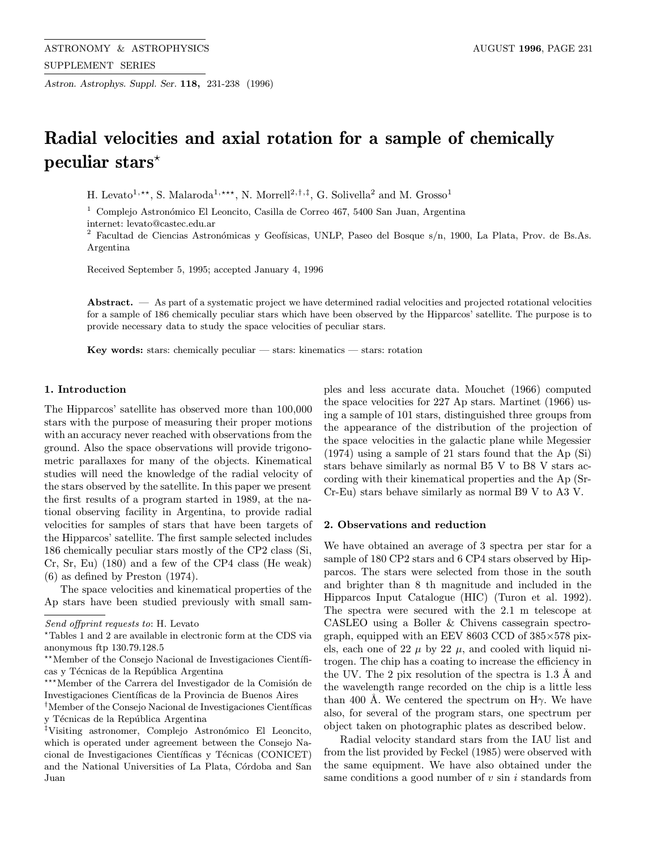Astron. Astrophys. Suppl. Ser. 118, 231-238 (1996)

# Radial velocities and axial rotation for a sample of chemically peculiar stars?

H. Levato<sup>1,\*\*</sup>, S. Malaroda<sup>1,\*\*\*</sup>, N. Morrell<sup>2,†,‡</sup>, G. Solivella<sup>2</sup> and M. Grosso<sup>1</sup>

<sup>1</sup> Complejo Astronómico El Leoncito, Casilla de Correo 467, 5400 San Juan, Argentina

internet: levato@castec.edu.ar

<sup>2</sup> Facultad de Ciencias Astronómicas y Geofísicas, UNLP, Paseo del Bosque s/n, 1900, La Plata, Prov. de Bs.As. Argentina

Received September 5, 1995; accepted January 4, 1996

Abstract. — As part of a systematic project we have determined radial velocities and projected rotational velocities for a sample of 186 chemically peculiar stars which have been observed by the Hipparcos' satellite. The purpose is to provide necessary data to study the space velocities of peculiar stars.

**Key words:** stars: chemically peculiar  $-$  stars: kinematics  $-$  stars: rotation

## 1. Introduction

The Hipparcos' satellite has observed more than 100,000 stars with the purpose of measuring their proper motions with an accuracy never reached with observations from the ground. Also the space observations will provide trigonometric parallaxes for many of the objects. Kinematical studies will need the knowledge of the radial velocity of the stars observed by the satellite. In this paper we present the first results of a program started in 1989, at the national observing facility in Argentina, to provide radial velocities for samples of stars that have been targets of the Hipparcos' satellite. The first sample selected includes 186 chemically peculiar stars mostly of the CP2 class (Si, Cr, Sr, Eu) (180) and a few of the CP4 class (He weak) (6) as defined by Preston (1974).

The space velocities and kinematical properties of the Ap stars have been studied previously with small samples and less accurate data. Mouchet (1966) computed the space velocities for 227 Ap stars. Martinet (1966) using a sample of 101 stars, distinguished three groups from the appearance of the distribution of the projection of the space velocities in the galactic plane while Megessier (1974) using a sample of 21 stars found that the Ap (Si) stars behave similarly as normal B5 V to B8 V stars according with their kinematical properties and the Ap (Sr-Cr-Eu) stars behave similarly as normal B9 V to A3 V.

## 2. Observations and reduction

We have obtained an average of 3 spectra per star for a sample of 180 CP2 stars and 6 CP4 stars observed by Hipparcos. The stars were selected from those in the south and brighter than 8 th magnitude and included in the Hipparcos Input Catalogue (HIC) (Turon et al. 1992). The spectra were secured with the 2.1 m telescope at CASLEO using a Boller & Chivens cassegrain spectrograph, equipped with an EEV 8603 CCD of 385×578 pixels, each one of 22  $\mu$  by 22  $\mu$ , and cooled with liquid nitrogen. The chip has a coating to increase the efficiency in the UV. The 2 pix resolution of the spectra is  $1.3 \text{ Å}$  and the wavelength range recorded on the chip is a little less than 400 Å. We centered the spectrum on  $H_{\gamma}$ . We have also, for several of the program stars, one spectrum per object taken on photographic plates as described below.

Radial velocity standard stars from the IAU list and from the list provided by Feckel (1985) were observed with the same equipment. We have also obtained under the same conditions a good number of  $v \sin i$  standards from

Send offprint requests to: H. Levato

 $*$ Tables 1 and 2 are available in electronic form at the CDS via anonymous ftp 130.79.128.5

<sup>\*\*</sup>Member of the Consejo Nacional de Investigaciones Científicas y Técnicas de la República Argentina

<sup>\*\*\*</sup>Member of the Carrera del Investigador de la Comisión de Investigaciones Cient´ıficas de la Provincia de Buenos Aires

<sup>&</sup>lt;sup>†</sup>Member of the Consejo Nacional de Investigaciones Científicas y Técnicas de la República Argentina

<sup>&</sup>lt;sup>‡</sup>Visiting astronomer, Complejo Astronómico El Leoncito, which is operated under agreement between the Consejo Nacional de Investigaciones Científicas y Técnicas (CONICET) and the National Universities of La Plata, Córdoba and San Juan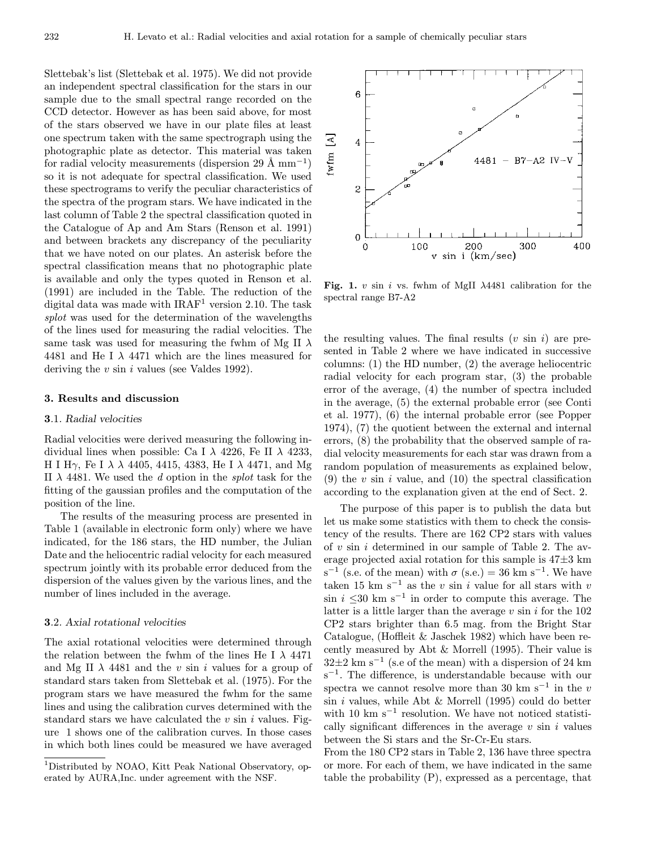Slettebak's list (Slettebak et al. 1975). We did not provide an independent spectral classification for the stars in our sample due to the small spectral range recorded on the CCD detector. However as has been said above, for most of the stars observed we have in our plate files at least one spectrum taken with the same spectrograph using the photographic plate as detector. This material was taken for radial velocity measurements (dispersion 29 Å  $mm^{-1}$ ) so it is not adequate for spectral classification. We used these spectrograms to verify the peculiar characteristics of the spectra of the program stars. We have indicated in the last column of Table 2 the spectral classification quoted in the Catalogue of Ap and Am Stars (Renson et al. 1991) and between brackets any discrepancy of the peculiarity that we have noted on our plates. An asterisk before the spectral classification means that no photographic plate is available and only the types quoted in Renson et al. (1991) are included in the Table. The reduction of the digital data was made with  $IRAF<sup>1</sup>$  version 2.10. The task splot was used for the determination of the wavelengths of the lines used for measuring the radial velocities. The same task was used for measuring the fwhm of Mg II  $\lambda$ 4481 and He I  $\lambda$  4471 which are the lines measured for deriving the  $v \sin i$  values (see Valdes 1992).

#### 3. Results and discussion

## 3.1. Radial velocities

Radial velocities were derived measuring the following individual lines when possible: Ca I  $\lambda$  4226, Fe II  $\lambda$  4233, H I Hγ, Fe I  $\lambda$   $\lambda$  4405, 4415, 4383, He I  $\lambda$  4471, and Mg II  $\lambda$  4481. We used the d option in the *splot* task for the fitting of the gaussian profiles and the computation of the position of the line.

The results of the measuring process are presented in Table 1 (available in electronic form only) where we have indicated, for the 186 stars, the HD number, the Julian Date and the heliocentric radial velocity for each measured spectrum jointly with its probable error deduced from the dispersion of the values given by the various lines, and the number of lines included in the average.

### 3.2. Axial rotational velocities

The axial rotational velocities were determined through the relation between the fwhm of the lines He I  $\lambda$  4471 and Mg II  $\lambda$  4481 and the v sin i values for a group of standard stars taken from Slettebak et al. (1975). For the program stars we have measured the fwhm for the same lines and using the calibration curves determined with the standard stars we have calculated the  $v \sin i$  values. Figure 1 shows one of the calibration curves. In those cases in which both lines could be measured we have averaged



Fig. 1. v sin i vs. fwhm of MgII  $\lambda$ 4481 calibration for the spectral range B7-A2

the resulting values. The final results  $(v \sin i)$  are presented in Table 2 where we have indicated in successive columns: (1) the HD number, (2) the average heliocentric radial velocity for each program star, (3) the probable error of the average, (4) the number of spectra included in the average, (5) the external probable error (see Conti et al. 1977), (6) the internal probable error (see Popper 1974), (7) the quotient between the external and internal errors, (8) the probability that the observed sample of radial velocity measurements for each star was drawn from a random population of measurements as explained below, (9) the v sin i value, and (10) the spectral classification according to the explanation given at the end of Sect. 2.

The purpose of this paper is to publish the data but let us make some statistics with them to check the consistency of the results. There are 162 CP2 stars with values of  $v \sin i$  determined in our sample of Table 2. The average projected axial rotation for this sample is 47±3 km s<sup>-1</sup> (s.e. of the mean) with  $\sigma$  (s.e.) = 36 km s<sup>-1</sup>. We have taken 15 km s<sup>−1</sup> as the v sin i value for all stars with v  $\sin i$  <30 km s<sup>-1</sup> in order to compute this average. The latter is a little larger than the average  $v \sin i$  for the 102 CP2 stars brighter than 6.5 mag. from the Bright Star Catalogue, (Hoffleit & Jaschek 1982) which have been recently measured by Abt & Morrell (1995). Their value is  $32\pm2$  km s<sup>-1</sup> (s.e of the mean) with a dispersion of 24 km s<sup>−1</sup>. The difference, is understandable because with our spectra we cannot resolve more than 30 km s<sup> $-1$ </sup> in the v  $sin i$  values, while Abt & Morrell (1995) could do better with 10 km s<sup> $-1$ </sup> resolution. We have not noticed statistically significant differences in the average  $v \sin i$  values between the Si stars and the Sr-Cr-Eu stars.

From the 180 CP2 stars in Table 2, 136 have three spectra or more. For each of them, we have indicated in the same table the probability (P), expressed as a percentage, that

<sup>1</sup>Distributed by NOAO, Kitt Peak National Observatory, operated by AURA,Inc. under agreement with the NSF.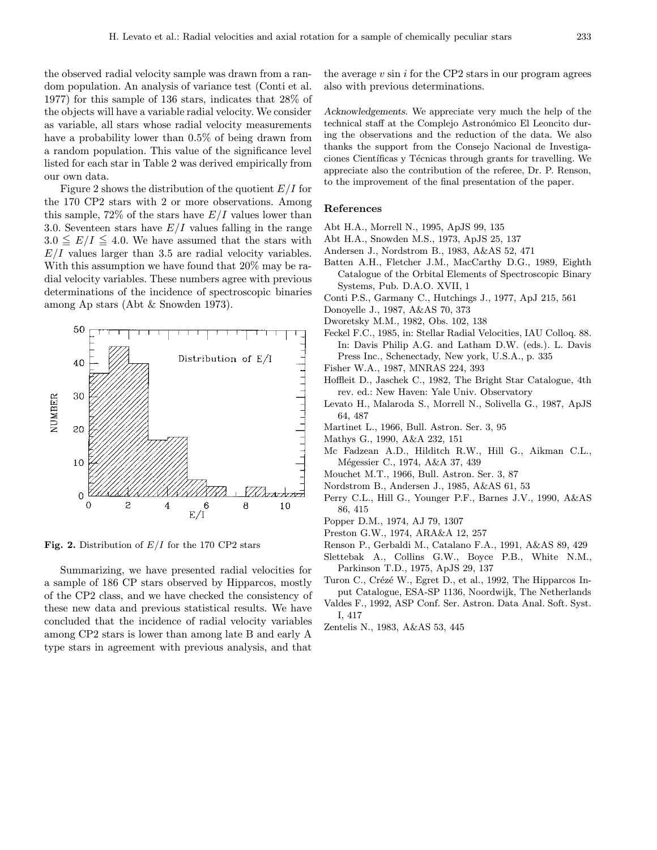the observed radial velocity sample was drawn from a random population. An analysis of variance test (Conti et al. 1977) for this sample of 136 stars, indicates that 28% of the objects will have a variable radial velocity. We consider as variable, all stars whose radial velocity measurements have a probability lower than 0.5% of being drawn from a random population. This value of the significance level listed for each star in Table 2 was derived empirically from our own data.

Figure 2 shows the distribution of the quotient  $E/I$  for the 170 CP2 stars with 2 or more observations. Among this sample,  $72\%$  of the stars have  $E/I$  values lower than 3.0. Seventeen stars have  $E/I$  values falling in the range  $3.0 \leq E/I \leq 4.0$ . We have assumed that the stars with  $E/I$  values larger than 3.5 are radial velocity variables. With this assumption we have found that 20% may be radial velocity variables. These numbers agree with previous determinations of the incidence of spectroscopic binaries among Ap stars (Abt & Snowden 1973).



Fig. 2. Distribution of  $E/I$  for the 170 CP2 stars

Summarizing, we have presented radial velocities for a sample of 186 CP stars observed by Hipparcos, mostly of the CP2 class, and we have checked the consistency of these new data and previous statistical results. We have concluded that the incidence of radial velocity variables among CP2 stars is lower than among late B and early A type stars in agreement with previous analysis, and that the average  $v \sin i$  for the CP2 stars in our program agrees also with previous determinations.

Acknowledgements. We appreciate very much the help of the technical staff at the Complejo Astronómico El Leoncito during the observations and the reduction of the data. We also thanks the support from the Consejo Nacional de Investigaciones Científicas y Técnicas through grants for travelling. We appreciate also the contribution of the referee, Dr. P. Renson, to the improvement of the final presentation of the paper.

#### References

- Abt H.A., Morrell N., 1995, ApJS 99, 135
- Abt H.A., Snowden M.S., 1973, ApJS 25, 137
- Andersen J., Nordstrom B., 1983, A&AS 52, 471
- Batten A.H., Fletcher J.M., MacCarthy D.G., 1989, Eighth Catalogue of the Orbital Elements of Spectroscopic Binary Systems, Pub. D.A.O. XVII, 1
- Conti P.S., Garmany C., Hutchings J., 1977, ApJ 215, 561
- Donoyelle J., 1987, A&AS 70, 373
- Dworetsky M.M., 1982, Obs. 102, 138
- Feckel F.C., 1985, in: Stellar Radial Velocities, IAU Colloq. 88. In: Davis Philip A.G. and Latham D.W. (eds.). L. Davis Press Inc., Schenectady, New york, U.S.A., p. 335
- Fisher W.A., 1987, MNRAS 224, 393
- Hoffleit D., Jaschek C., 1982, The Bright Star Catalogue, 4th rev. ed.: New Haven: Yale Univ. Observatory
- Levato H., Malaroda S., Morrell N., Solivella G., 1987, ApJS 64, 487
- Martinet L., 1966, Bull. Astron. Ser. 3, 95
- Mathys G., 1990, A&A 232, 151
- Mc Fadzean A.D., Hilditch R.W., Hill G., Aikman C.L., Mégessier C., 1974, A&A 37, 439
- Mouchet M.T., 1966, Bull. Astron. Ser. 3, 87
- Nordstrom B., Andersen J., 1985, A&AS 61, 53
- Perry C.L., Hill G., Younger P.F., Barnes J.V., 1990, A&AS 86, 415
- Popper D.M., 1974, AJ 79, 1307
- Preston G.W., 1974, ARA&A 12, 257
- Renson P., Gerbaldi M., Catalano F.A., 1991, A&AS 89, 429
- Slettebak A., Collins G.W., Boyce P.B., White N.M., Parkinson T.D., 1975, ApJS 29, 137
- Turon C., Crézé W., Egret D., et al., 1992, The Hipparcos Input Catalogue, ESA-SP 1136, Noordwijk, The Netherlands
- Valdes F., 1992, ASP Conf. Ser. Astron. Data Anal. Soft. Syst. I, 417
- Zentelis N., 1983, A&AS 53, 445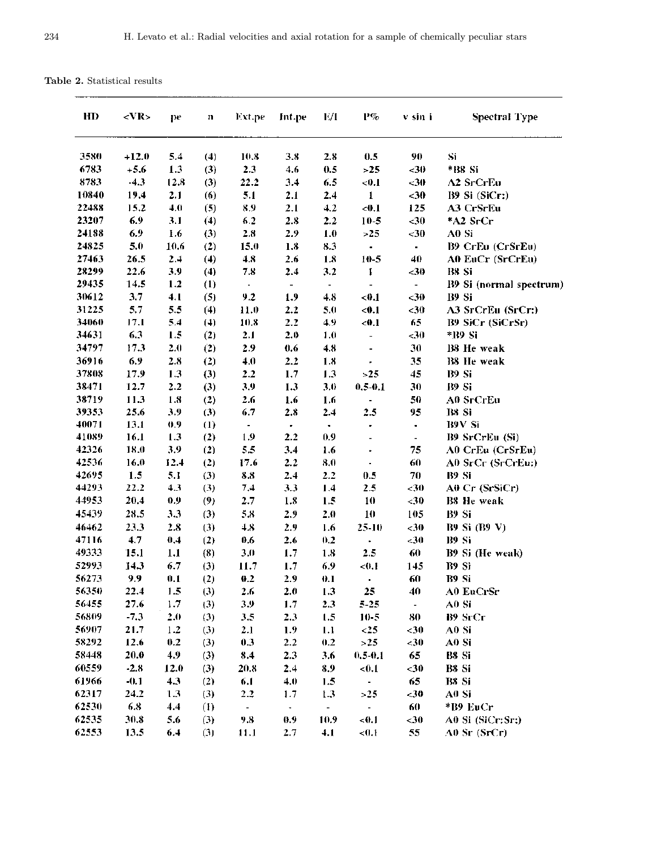| HD             | <vr></vr>    | pe         | n                | Ext.pe         | Int.pe                  | E/I            | P%                       | v sin i        | <b>Spectral Type</b>    |
|----------------|--------------|------------|------------------|----------------|-------------------------|----------------|--------------------------|----------------|-------------------------|
| 3580           | $+12.0$      | 5.4        | (4)              | 10.8           | 3.8                     | 2.8            | 0.5                      | 90             | Si                      |
| 6783           | $+5.6$       | 1.3        | (3)              | 2.3            | 4.6                     | 0.5            | >25                      | < 30           | *B8 Si                  |
| 8783           | $-4.3$       | 12.8       | (3)              | 22.2           | 3.4                     | 6.5            | < 0.1                    | $30$           | A2 SrCrEu               |
| 10840          | 19,4         | 2.1        | (6)              | 5.1            | 2.1                     | 2.4            | $\mathbf 1$              | $30$           | B9 Si (SiCr:)           |
| 22488          | 15.2         | 4.0        | (5)              | 8.9            | 2.1                     | 4.2            | $0.1$                    | 125            | A3 CrSrEu               |
| 23207          | 6.9          | 3.1        | (4)              | 6.2            | 2.8                     | 2.2            | $10 - 5$                 | $30$           | *A2 SrCr                |
| 24188          | 6.9          | 1.6        | (3)              | 2.8            | 2.9                     | 1.0            | >25                      | $30$           | A0 Si                   |
| 24825          | 5.0          | 10.6       | (2)              | 15.0           | 1.8                     | 8.3            | $\bullet$                | $\blacksquare$ | B9 CrEu (CrSrEu)        |
| 27463          | 26.5         | 2.4        | (4)              | 4.8            | 2.6                     | $1.8\,$        | 10-5                     | 40             | A0 EuCr (SrCrEu)        |
| 28299          | 22.6         | 3.9        | (4)              | 7.8            | 2.4                     | 3.2            | 1                        | $30$           | B8 Si                   |
| 29435          | 14.5         | 1.2        | $\left(1\right)$ | $\blacksquare$ | $\blacksquare$          | $\blacksquare$ |                          | $\blacksquare$ | B9 Si (normal spectrum) |
| 30612          | 3.7          | 4.1        | (5)              | 9.2            | 1.9                     | 4.8            | -41,1                    | $30$           | B9 Si                   |
| 31225          | 5.7          | 5.5        | (4)              | 11.0           | 2.2                     | 5.0            | < 0.1                    | <30            | A3 SrCrEu (SrCr:)       |
| 34060          | 17.1         | 5.4        | (4)              | 10.8           | 2.2                     | 4.9            | < 0.1                    | 65             | B9 SiCr (SiCrSr)        |
| 34631          | 6.3          | 1.5        | (2)              | 2.1            | 2.0                     | 1.0            | $\blacksquare$           | $30$           | *139 Si                 |
| 34797          | 17.3         | 2.0        | (2)              | 2.9            | 0.6                     | 4.8            | $\overline{\phantom{a}}$ | 30             | B8 He weak              |
| 36916          | 6,9          | 2.8        | (2)              | 4.0            | 2.2                     | 1.8            |                          | 35             | <b>B8</b> He weak       |
| 37808          | 17.9         | 1.3        | (3)              | 2.2            | 1.7                     | 1.3            | >25                      | 45             | B9 Si                   |
| 38471          | 12.7         | 2.2        | (3)              | 3.9            | 1.3                     | 3.0            | $0.5 - 0.1$              | 30             | B9 Si                   |
| 38719          | 11.3         | 1.8        | (2)              | 2.6            | 1.6                     | 1.6            | $\blacksquare$           | 50             | A0 SrCrEu               |
| 39353          | 25.6         | 3.9        | (3)              | 6.7            | 2.8                     | 2.4            | 2.5                      | 95             | B8 Si                   |
| 40071          | 13.1         | 0,9        | $\bf(1)$         | $\blacksquare$ | $\bullet$               | $\blacksquare$ | $\blacksquare$           | $\blacksquare$ | B9V Si                  |
| 41089          | 16.1         | 1.3        | (2)              | 1.9            | 2.2                     | 0.9            |                          | $\blacksquare$ | B9 SrCrEu (Si)          |
| 42326          | 18.0         | 3.9        | (2)              | 5.5            | 3.4                     | 1.6            |                          | 75             | A0 CrEu (CrSrEu)        |
| 42536          | 16.0         | 12.4       | (2)              | 17.6           | 2.2                     | 8.0            | $\blacksquare$           | 60             | A0 SrCr (SrCrEu:)       |
| 42695<br>44293 | 1.5          | 5.1<br>4.3 | (3)              | 8.8            | 2.4                     | 2.2            | 0.5                      | 70             | B9 Si                   |
| 44953          | 22.2<br>20,4 | 0.9        | (3)              | 7.4            | 3,3                     | 1.4            | 2.5                      | $30$           | A0 Cr (SrSiCr)          |
|                |              |            | (9)              | 2.7            | 1.8                     | 1.5            | 10                       | $-30$          | B8 He weak              |
| 45439          | 28.5         | 3.3        | (3)              | 5.8            | 2.9                     | 2.0            | 10                       | 105            | B9 Si                   |
| 46462          | 23.3         | 2.8        | (3)              | 4.8            | 2.9                     | 1.6            | $25 - 10$                | $30$           | <b>B9 Si (B9 V)</b>     |
| 47116<br>49333 | 4.7          | 0.4        | (2)              | 0.6            | 2.6                     | 0.2            | ٠                        | <30            | B9 Si                   |
| 52993          | 15.1         | 1.1        | (8)              | 3.0            | 1.7                     | 1.8            | 2.5                      | 60             | B9 Si (He weak)         |
|                | 14.3         | 6.7        | (3)              | 11.7           | 1.7                     | 6.9            | < 0.1                    | 145            | <b>B9 Si</b><br>B9 Si   |
| 56273          | 9,9          | 0.1        | (2)              | 0.2            | 2.9                     | 0.1            |                          | 60             |                         |
| 56350<br>56455 | 22.4<br>27.6 | 1.5<br>1.7 | (3)              | 2.6<br>3.9     | 2.0                     | 1.3            | 25                       | 40             | A0 EuCrSr<br>A0 Si      |
| 56809          | $-7.3$       | 2.0        | (3)              |                | 1.7                     | 2.3            | $5 - 25$                 | $\blacksquare$ |                         |
| 56907          | 21.7         | 1.2        | (3)              | 3.5            | 2.3                     | 1.5<br>1.1     | $10-5$<br>< 25           | 80             | B9 SrCr<br>A0 Si        |
| 58292          | 12.6         | 0.2        | (3)              | 2.1<br>0.3     | 1.9 <sub>2</sub><br>2.2 | 0.2            | >25                      | $30$<br>< 30   | A0 Si                   |
| 58448          | 20.0         | 4.9        | (3)<br>(3)       | 8.4            | 2.3                     | 3.6            | $0.5 - 0.1$              | 65             | B8 Si                   |
| 60559          | $-2.8$       | 12.0       | (3)              | 20.8           | 2.4                     | 8.9            | <0.1                     | $30$           | B8 Si                   |
| 61966          | $-0.1$       | 4.3        |                  |                |                         |                | $\blacksquare$           | 65             | B8 Si                   |
| 62317          | 24.2         | 1.3        | (2)<br>(3)       | 6.1<br>2.2     | 4.0<br>1.7              | 1.5<br>1.3     | >25                      | $30$           | A0 Si                   |
| 62530          | 6.8          | 4.4        | $(\mathrm{I})$   |                |                         | $\blacksquare$ | $\omega_{\rm c}$         | 60             | *B9 EuCr                |
| 62535          | 30.8         | 5.6        | (3)              | $\sim$<br>9.8  | $\blacksquare$<br>0.9   | 10.9           | <0.1                     | $30$           | A0 Si (SiCr:Sr:)        |
| 62553          | 13.5         | 6.4        |                  |                |                         |                |                          | 55             |                         |
|                |              |            | (3)              | 11.1           | 2.7                     | 4.1            | < 0.1                    |                | $A0$ Sr (SrCr)          |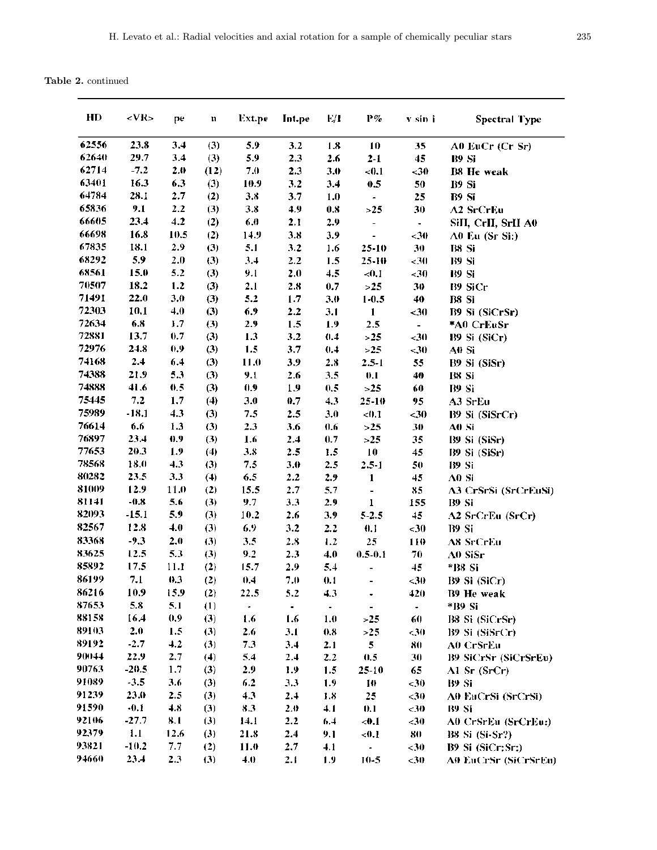Table 2. continued

| HD    | <vr></vr> | pe   | n    | Ext.pe    | Int.pe    | E/I            | $P\%$                        | v sin i        | <b>Spectral Type</b>        |
|-------|-----------|------|------|-----------|-----------|----------------|------------------------------|----------------|-----------------------------|
| 62556 | 23.8      | 3.4  | (3)  | 5.9       | 3.2       | 1.8            | 10                           | 35             | A0 EuCr (Cr Sr)             |
| 62640 | 29.7      | 3.4  | (3)  | 5.9       | 2.3       | 2.6            | $2 - 1$                      | 45             | <b>B9 Si</b>                |
| 62714 | $-7.2$    | 2.0  | (12) | 7.0       | 2.3       | 3.0            | < 0.1                        | $30$           | <b>B8 He weak</b>           |
| 63401 | 16.3      | 6.3  | (3)  | 10.9      | 3.2       | 3,4            | 0.5                          | 50             | B9 Si                       |
| 64784 | 28.1      | 2.7  | (2)  | 3.8       | 3.7       | 1.0            | $\blacksquare$               | 25             | B9 Si                       |
| 65836 | 9.1       | 2.2  | (3)  | 3.8       | 4.9       | 0.8            | >25                          | 30             | A2 SrCrEu                   |
| 66605 | 23.4      | 4.2  | (2)  | 6.0       | 2.1       | 2.9            | $\overline{\phantom{a}}$     | $\blacksquare$ | SiII, CrII, SrII A0         |
| 66698 | 16.8      | 10.5 | (2)  | 14.9      | 3.8       | 3.9            | $\qquad \qquad \blacksquare$ | -30            | A0 Eu (Sr Si:)              |
| 67835 | 18.1      | 2.9  | (3)  | 5.1       | 3.2       | 1.6            | 25-10                        | 30             | B8 Si                       |
| 68292 | 5.9       | 2.0  | (3)  | 3.4       | 2.2       | 1.5            | $25 - 10$                    | <30            | B9 Si                       |
| 68561 | 15.0      | 5.2  | (3)  | 9.1       | 2.0       | 4.5            | < 0.1                        | ${<}30$        | B9 Si                       |
| 70507 | 18.2      | 1.2  | (3)  | 2.1       | 2.8       | 0.7            | >25                          | 30             | B9 SiCr                     |
| 71491 | 22.0      | 3.0  | (3)  | 5.2       | 1.7       | 3.0            | $1 - 0.5$                    | 40             | B8 Si                       |
| 72303 | 10.1      | 4.0  | (3)  | 6.9       | 2.2       | 3.1            | $\mathbf{1}$                 | $30$           | B9 Si (SiCrSr)              |
| 72634 | 6.8       | 1.7  | (3)  | 2.9       | 1.5       | 1.9            | 2.5                          | $\blacksquare$ | *A0 CrEuSr                  |
| 72881 | 13.7      | 0.7  | (3)  | 1.3       | 3.2       | 0.4            | > 25                         | ${<}30$        | B9 Si (SiCr)                |
| 72976 | 24.8      | 0.9  | (3)  | 1.5       | 3.7       | 0.4            | >25                          | <30            | A0 Si                       |
| 74168 | 2.4       | 6.4  | (3)  | 11.0      | 3.9       | 2.8            | $2.5 - 1$                    | 55             | B9 Si (SiSr)                |
| 74388 | 21.9      | 5.3  | (3)  | 9.1       | 2.6       | 3.5            | 0.1                          | 40             | B8 Si                       |
| 74888 | 41.6      | 0.5  | (3)  | 0.9       | 1.9       | 0.5            | >2.5                         | 60             | B9 Si                       |
| 75445 | 7.2       | 1.7  | (4)  | 3.0       | 0.7       | 4.3            | 25-10                        | 95             | A3 SrEu                     |
| 75989 | $-18.1$   | 4.3  | (3)  | 7.5       | 2.5       | 3.0            | < 0.1                        | $30$           | B9 Si (SiSrCr)              |
| 76614 | 6.6       | 1.3  | (3)  | 2.3       | 3.6       | 0.6            | >25                          | 30             | A0 Si                       |
| 76897 | 23.4      | 0.9  | (3)  | 1.6       | 2.4       | 0.7            | >2.5                         | 35             | B9 Si (SiSr)                |
| 77653 | 20.3      | 1.9  | (4)  | 3.8       | 2.5       | 1.5            | 10                           | 45             | B9 Si (SiSr)                |
| 78568 | 18.0      | 4.3  | (3)  | 7.5       | 3.0       | 2.5            | $2.5 - 1$                    | 50             | <b>B9 Si</b>                |
| 80282 | 23.5      | 3.3  | (4)  | 6.5       | 2.2       | 2.9            | 1                            | 45             | A0 Si                       |
| 81009 | 12.9      | 11.0 | (2)  | 15.5      | 2.7       | 5.7            | $\overline{\phantom{0}}$     | 85             | A3 CrSrSi (SrCrEuSi)        |
| 81141 | $-0.8$    | 5.6  | (3)  | 9.7       | 3.3       | 2.9            | 1                            | 155            | B9 Si                       |
| 82093 | $-15.1$   | 5.9  | (3)  | 10.2      | 2.6       | 3.9            | $5 - 2.5$                    | 45             | A2 SrCrEu (SrCr)            |
| 82567 | 12.8      | 4.0  | (3)  | 6.9       | 3.2       | 2.2            | 0.1                          | <30            | B9 Si                       |
| 83368 | $-9.3$    | 2,0  | (3)  | 3.5       | 2.8       | 1.2            | 25                           | 110            | A8 SrCrEu                   |
| 83625 | 12.5      | 5.3  | (3)  | 9.2       | 2.3       | 4.0            | $0.5 - 0.1$                  | 70             | A0 SiSr                     |
| 85892 | 17.5      | 11.1 | (2)  | 15.7      | 2.9       | 5.4            |                              | 45             | *B8 Si                      |
| 86199 | 7.1       | 0.3  | (2)  | 0.4       | 7.0       | 0.1            |                              | <30            | B9 Si (SiCr)                |
| 86216 | 10.9      | 15.9 | (2)  | 22.5      | 5.2       | 4.3            | ٠                            | 420            | <b>B9 He weak</b>           |
| 87653 | 5.8       | 5.1  | (1)  | $\bullet$ | $\bullet$ | $\blacksquare$ | $\frac{1}{2}$                | $\bullet$      | *B9 Si                      |
| 88158 | 16.4      | 0.9  | (3)  | 1.6       | 1.6       | 1.0            | >25                          | 60             | B8 Si (SiCrSr)              |
| 89103 | 2.0       | 1.5  | (3)  | 2.6       | 3.1       | 0.8            | >25                          | $30$           | B9 Si (SiSrCr)              |
| 89192 | $-2.7$    | 4.2  | (3)  | 7.3       | 3.4       | 2.1            | $\mathbf{5}$                 | 80             | A0 CrSrEu                   |
| 90044 | 22.9      | 2.7  | (4)  | 5.4       | 2.4       | 2.2            | 0.5                          | 30             | B9 SiCrSr (SiCrSrEu)        |
| 90763 | $-20.5$   | 1.7  | (3)  | 2.9       | 1.9       | 1.5            | 25-10                        | 65             | $\Lambda$ l Sr (SrCr)       |
| 91089 | $-3.5$    | 3.6  | (3)  | 6.2       | 3.3       | 1.9            | 10                           | ${<}30$        | B9 Si                       |
| 91239 | 23.0      | 2.5  | (3)  | 4.3       | 2.4       | 1.8            | 25                           | $30$           | A0 EuCrSi (SrCrSi)          |
| 91590 | $-0.1$    | 4.8  | (3)  | 8.3       | 2.0       | 4.1            | 0.1                          | <30            | B9 Si                       |
| 92106 | $-27.7$   | 8.1  | (3)  | 14.1      | 2.2       | 6,4            | -0.1                         | <30            | A0 CrSrEu (SrCrEu:)         |
| 92379 | 1.1       | 12.6 | (3)  | 21.8      | 2.4       | 9.1            | <0.1                         | 80             | B8 Si (Si-Sr?)              |
| 93821 | $-10.2$   | 7.7  | (2)  | 11.0      | 2.7       | 4.1            | $\sim$                       | ${<}30$        | B9 Si (SiCr; Sr.)           |
| 94660 | 23.4      | 2.3  | (3)  | 4.0       | 2.1       | 1.9            | $10 - 5$                     | $30$           | <b>A0 EuCrSr (SiCrSrEu)</b> |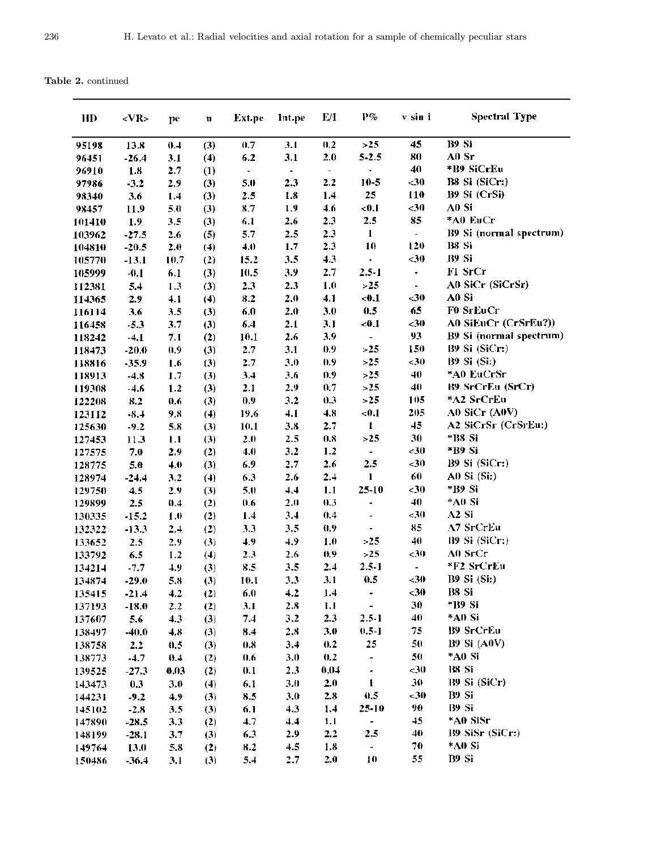Table 2. continued

| HD     | $<$ VR>          | pe         | n   | <b>Ext.pe</b>  | Int.pe         | E/I            | $\mathbf{P}$ %           | v sin i                      | <b>Spectral Type</b>    |
|--------|------------------|------------|-----|----------------|----------------|----------------|--------------------------|------------------------------|-------------------------|
| 95198  | 13.8             | 0.4        | (3) | 0.7            | 3.1            | 0.2            | >25                      | 45                           | B9 Si                   |
| 96451  | $-26.4$          | 3.1        | (4) | 6.2            | 3.1            | 2.0            | $5 - 2.5$                | 80                           | A0 Sr                   |
| 96910  | 1.8              | 2.7        | (1) | $\blacksquare$ | $\blacksquare$ | $\blacksquare$ | $\blacksquare$           | 40                           | *B9 SiCrEu              |
| 97986  | $-3.2$           | 2.9        | (3) | 5.0            | 2.3            | 2.2            | $10 - 5$                 | $30$                         | B8 Si (SiCr:)           |
| 98340  | 3.6              | 1.4        | (3) | 2.5            | 1.8            | 1.4            | 25                       | 110                          | B9 Si (CrSi)            |
| 98457  | 11.9             | 5.0        | (3) | 8.7            | 1.9            | 4.6            | < 0.1                    | $30$                         | A0 Si                   |
| 101410 | 1.9 <sub>1</sub> | 3.5        | (3) | 6.1            | 2.6            | 2.3            | 2.5                      | 85                           | *A0 EuCr                |
| 103962 | $-27.5$          | 2.6        | (5) | 5.7            | 2.5            | 2.3            | $\mathbf{1}$             | $\overline{\phantom{0}}$     | B9 Si (normal spectrum) |
| 104810 | $-20.5$          | 2.0        | (4) | 4.0            | 1.7            | 2.3            | 10                       | 120                          | <b>B8</b> Si            |
| 105770 | $-13.1$          | 10.7       | (2) | 15.2           | 3.5            | 4.3            | ¥.                       | $<$ 30                       | B9 Si                   |
| 105999 | $-0.1$           | 6.1        | (3) | 10.5           | 3.9            | 2.7            | $2.5 - 1$                | $\overline{\phantom{a}}$     | F1 SrCr                 |
| 112381 | 5.4              | 1.3        | (3) | 2.3            | 2.3            | 1.0            | >25                      | ۰                            | A0 SiCr (SiCrSr)        |
| 114365 | 2.9              | 4.1        | (4) | 8.2            | 2.0            | 4.1            | < 0.1                    | $30$                         | A0 Si                   |
| 116114 | 3.6              | 3.5        | (3) | 6.0            | 2.0            | 3.0            | 0.5                      | 65                           | F0 SrEuCr               |
| 116458 | $-5.3$           | 3.7        | (3) | 6.4            | 2.1            | 3.1            | < 0.1                    | $30$                         | A0 SiEuCr (CrSrEu?))    |
| 118242 | $-4.1$           | 7.1        | (2) | 10.1           | 2.6            | 3.9            | $\blacksquare$           | 93                           | B9 Si (normal spectrum) |
| 118473 | $-20.0$          | 0.9        | (3) | 2.7            | 3.1            | 0.9            | >25                      | 150                          | B9 Si (SiCr:)           |
| 118816 | -35.9            | 1.6        | (3) | 2.7            | 3.0            | 0.9            | >25                      | ${<}30$                      | <b>B9 Si (Si:)</b>      |
| 118913 | $-4.8$           | 1.7        | (3) | 3,4            | 3.6            | 0.9            | >25                      | 40                           | *A0 EuCrSr              |
| 119308 | $-4.6$           | 1.2        | (3) | 2.1            | 2.9            | 0.7            | >25                      | 40                           | B9 SrCrEu (SrCr)        |
| 122208 | 8.2              | 0.6        | (3) | 0.9            | 3.2            | 0.3            | >25                      | 105                          | *A2 SrCrEu              |
| 123112 | $-8.4$           | 9.8        | (4) | 19.6           | 4.1            | 4.8            | < 0.1                    | 205                          | A0 SiCr (A0V)           |
| 125630 | $-9.2$           | 5.8        | (3) | 10.1           | 3.8            | 2.7            | 1                        | 45                           | A2 SiCrSr (CrSrEu:)     |
| 127453 | 11.3             | 1.1        | (3) | 2.0            | 2.5            | 0,8            | >25                      | 30                           | *B8 Si                  |
| 127575 | 7.0              | 2.9        | (2) | 4.0            | 3.2            | 1.2            | $\overline{\phantom{a}}$ | $30$                         | *B9 Si                  |
| 128775 | 5.0              | 4.0        | (3) | 6.9            | 2.7            | 2.6            | 2.5                      | ${<}30$                      | B9 Si (SiCr:)           |
| 128974 | $-24.4$          | 3.2        | (4) | 6.3            | 2.6            | 2.4            | 1                        | 60                           | $A0$ Si $(Si)$          |
| 129750 | 4.5              | 2.9        | (3) | 5.0            | 4.4            | 1.1            | 25-10                    | $30$                         | *139 Si                 |
| 129899 | 2.5              | 0.4        | (2) | 0.6            | 2.0            | 0.3            | ٠                        | 40                           | *A0 Si                  |
| 130335 | $-15.2$          | 1.0        | (2) | 1.4            | 3.4            | 0.4            |                          | < 30                         | A <sub>2</sub> Si       |
| 132322 | $-13.3$          | 2.4        | (2) | 3.3            | 3.5            | 0.9            |                          | 85                           | A7 SrCrEu               |
| 133652 | 2.5              | 2.9        | (3) | 4.9            | 4.9            | 1.0            | >25                      | 40                           | B9 Si (SiCr:)           |
| 133792 | 6.5              | 1.2        | (4) | 2.3            | 2.6            | 0.9            | $>25$                    | $30$                         | A0 SrCr                 |
| 134214 | $-7.7$           | 4.9        | (3) | 8.5            | 3.5            | 2.4            | $2.5 - 1$                | $\qquad \qquad \blacksquare$ | *F2 SrCrEu              |
| 134874 | $-29.0$          | 5.8        | (3) | 10.1           | 3.3            | 3.1            | 0.5                      | $30$                         | <b>B9 Si (Si:)</b>      |
| 135415 | $-21.4$          | 4.2        | (2) | 6.0            | 4.2            | 1.4            | ٠                        | -30                          | B8 Si                   |
| 137193 | $-18.0$          | 2.2        | (2) | 3.1            | 2.8            | 1.1            | $\blacksquare$           | 30                           | *139 Si                 |
| 137607 | 5.6              | 4.3        | (3) | 7.4            | 3.2            | 2.3            | $2.5 - 1$                | 40                           | *A0 Si                  |
| 138497 | $-40.0$          | 4.8        | (3) | 8.4            | 2.8            | 3.0            | $0.5 - 1$                | 75                           | <b>B9 SrCrEu</b>        |
| 138758 | 2.2              | 0.5        | (3) | 0.8            | 3,4            | 0.2            | 25                       | 50                           | $B9$ Si $(A0V)$         |
| 138773 | $-4.7$           | 0.4        | (2) | 0.6            | 3.0            | 0.2            | $\blacksquare$           | 50                           | *A0 Si                  |
| 139525 | $-27.3$          | 0.03       | (2) | 0.1            | 2.3            | 0.04           | ٠                        | $30$                         | B8 Si                   |
| 143473 | 0.3              | 3.0        | (4) | 6.1            | 3.0            | 2.0            | 1                        | 30                           | B9 Si (SiCr)            |
| 144231 | $-9.2$           | 4.9        | (3) | 8.5            | 3,0            | 2.8            | 0.5                      | ${<}30$                      | B9 Si                   |
| 145102 | $-2.8$           |            | (3) | 6.1            | 4.3            | 1.4            | 25-10                    | 90                           | B9 Si                   |
| 147890 | $-28.5$          | 3.5<br>3.3 | (2) | 4.7            | 4.4            | 1.1            | -                        | 45                           | *A0 SiSr                |
| 148199 | $-28.1$          | 3.7        | (3) | 6,3            | 2.9            | 2.2            | 2.5                      | 40                           | B9 SiSr (SiCr:)         |
| 149764 | 13.0             | 5.8        | (2) | 8.2            | 4.5            | 1.8            | ÷.                       | 70                           | *A0 Si                  |
|        |                  |            |     | 5.4            | 2.7            | 2.0            | 10                       | 55                           | B9 Si                   |
| 150486 | $-36.4$          | 3.1        | (3) |                |                |                |                          |                              |                         |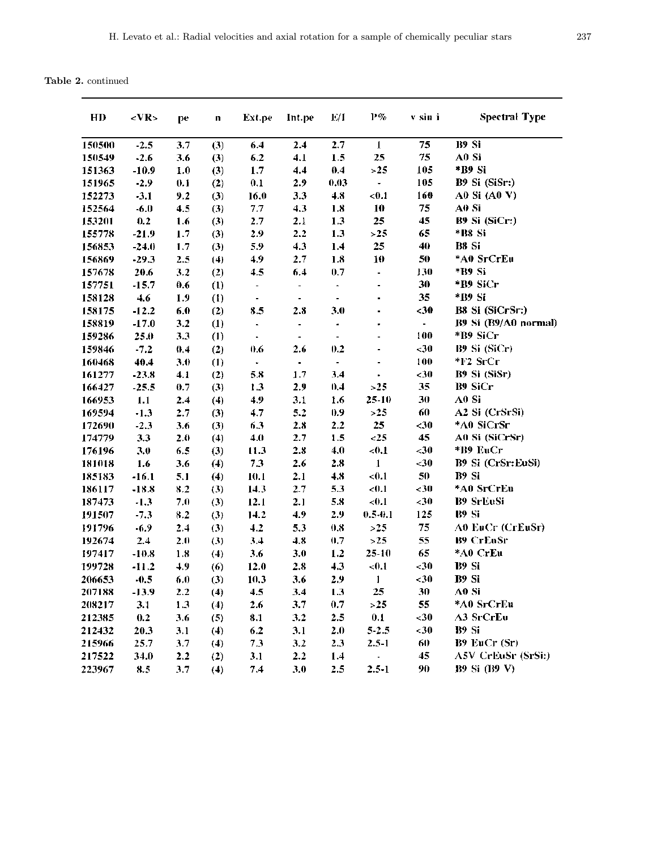Table 2. continued

| HD     | <vr></vr> | pe  | n   | Ext.pe                   | Int.pe                       | E/I                          | $P\%$                    | v sin i                  | <b>Spectral Type</b> |
|--------|-----------|-----|-----|--------------------------|------------------------------|------------------------------|--------------------------|--------------------------|----------------------|
| 150500 | $-2.5$    | 3.7 | (3) | 6.4                      | 2.4                          | 2.7                          | $\mathbf{I}$             | 75                       | B9 Si                |
| 150549 | $-2.6$    | 3.6 | (3) | 6.2                      | 4.1                          | 1.5                          | 25                       | 75                       | A0 Si                |
| 151363 | $-10.9$   | 1.0 | (3) | 1.7                      | 4.4                          | 0.4                          | >25                      | 105                      | *B9 Si               |
| 151965 | $-2.9$    | 0.1 | (2) | 0.1                      | 2.9                          | 0.03                         | $\overline{\phantom{0}}$ | 105                      | B9 Si (SiSr:)        |
| 152273 | $-3.1$    | 9.2 | (3) | 16.0                     | 3.3                          | 4.8                          | < 0.1                    | 160                      | A0 Si (A0 V)         |
| 152564 | $-6.0$    | 4.5 | (3) | 7.7                      | 4.3                          | 1.8                          | 10                       | 75                       | A0 Si                |
| 153201 | 0.2       | 1.6 | (3) | 2.7                      | 2.1                          | 1.3                          | 25                       | 45                       | B9 Si (SiCr:)        |
| 155778 | $-21.9$   | 1.7 | (3) | 2.9                      | 2.2                          | 1.3                          | >25                      | 65                       | *B8 Si               |
| 156853 | $-24.0$   | 1.7 | (3) | 5.9                      | 4.3                          | 1.4                          | 25                       | 40                       | B8 Si                |
| 156869 | $-29.3$   | 2.5 | (4) | 4.9                      | 2.7                          | 1.8                          | 10                       | 50                       | *A0 SrCrEu           |
| 157678 | 20.6      | 3.2 | (2) | 4.5                      | 6.4                          | 0.7                          | -                        | 130                      | *B9 Si               |
| 157751 | $-15.7$   | 0.6 | (1) | -                        | $\blacksquare$               | ۰                            |                          | 30                       | *B9 SiCr             |
| 158128 | 4.6       | 1.9 | (1) | $\overline{\phantom{0}}$ | $\blacksquare$               | $\overline{\phantom{0}}$     |                          | 35                       | *B9 Si               |
| 158175 | $-12.2$   | 6.0 | (2) | 8.5                      | 2.8                          | 3.0                          |                          | -30                      | B8 Si (SiCrSr:)      |
| 158819 | $-17.0$   | 3.2 | (1) | $\overline{\phantom{0}}$ | $\qquad \qquad \blacksquare$ |                              |                          | $\overline{\phantom{0}}$ | B9 Si (B9/A0 normal) |
| 159286 | 25.0      | 3.3 | (1) | $\qquad \qquad \bullet$  | ۰                            | $\qquad \qquad \blacksquare$ |                          | 100                      | *B9 SiCr             |
| 159846 | $-7.2$    | 0,4 | (2) | 0.6                      | 2.6                          | 0.2                          |                          | $30$                     | B9 Si (SiCr)         |
| 160468 | 40.4      | 3.0 | (1) | ÷,                       | $\blacksquare$               | $\qquad \qquad \blacksquare$ |                          | 100                      | *F2 SrCr             |
| 161277 | $-23.8$   | 4.1 | (2) | 5.8                      | 1.7                          | 3.4                          |                          | <30                      | B9 Si (SiSr)         |
| 166427 | $-25.5$   | 0.7 | (3) | 1.3                      | 2.9                          | 0.4                          | >25                      | 35                       | <b>B9 SiCr</b>       |
| 166953 | 1.1       | 2.4 | (4) | 4.9                      | 3.1                          | 1.6                          | $25 - 10$                | 30                       | A0 Si                |
| 169594 | $-1.3$    | 2.7 | (3) | 4.7                      | 5.2                          | 0.9                          | >25                      | 60                       | A2 Si (CrSrSi)       |
| 172690 | $-2.3$    | 3.6 | (3) | 6.3                      | 2.8                          | 2.2                          | 25                       | $30$                     | *A0 SiCrSr           |
| 174779 | 3.3       | 2.0 | (4) | 4.0                      | 2.7                          | 1.5                          | $25$                     | 45                       | A0 Si (SiCrSr)       |
| 176196 | 3.0       | 6.5 | (3) | 11.3                     | 2.8                          | 4.0                          | < 0.1                    | $<$ 30                   | *B9 EuCr             |
| 181018 | 1.6       | 3.6 | (4) | 7.3                      | 2.6                          | 2.8                          | 1                        | $30$                     | B9 Si (CrSr:EuSi)    |
| 185183 | $-16.1$   | 5.1 | (4) | 10.1                     | 2.1                          | 4.8                          | < 0.1                    | 50                       | B9 Si                |
| 186117 | $-18.8$   | 8.2 | (3) | 14.3                     | 2.7                          | 5.3                          | < 0.1                    | <30                      | *A0 SrCrEu           |
| 187473 | $-1.3$    | 7.0 | (3) | 12.1                     | 2.1                          | 5.8                          | < 0.1                    | <30                      | <b>B9 SrEuSi</b>     |
| 191507 | $-7.3$    | 8.2 | (3) | 14.2                     | 4.9                          | 2.9                          | $0.5 - 0.1$              | 125                      | <b>B9 Si</b>         |
| 191796 | $-6.9$    | 2.4 | (3) | 4.2                      | 5.3                          | 0.8                          | >25                      | 75                       | A0 EuCr (CrEuSr)     |
| 192674 | 2.4       | 2.0 | (3) | 3.4                      | 4.8                          | 0.7                          | >25                      | 55                       | <b>B9 CrEoSr</b>     |
| 197417 | $-10.8$   | 1.8 | (4) | 3.6                      | 3.0                          | 1.2                          | $25 - 10$                | 65                       | *A0 CrEu             |
| 199728 | $-11.2$   | 4.9 | (6) | 12.0                     | 2.8                          | 4.3                          | < 0.1                    | ${<}30$                  | B9 Si                |
| 206653 | $-0.5$    | 6.0 | (3) | 10.3                     | 3.6                          | 2.9                          | 1                        | ${<}30$                  | B9 Si                |
| 207188 | -13.9     | 2.2 | (4) | 4.5                      | 3.4                          | 1.3                          | 25                       | 30                       | A0 Si                |
| 208217 | 3.1       | 1.3 | (4) | 2.6                      | 3.7                          | 0.7                          | >25                      | 55                       | *A0 SrCrEu           |
| 212385 | 0.2       | 3.6 | (5) | 8.1                      | 3.2                          | 2.5                          | 0.1                      | $30$                     | A3 SrCrEu            |
| 212432 | 20.3      | 3.1 | (4) | 6.2                      | 3.1                          | 2.0                          | $5 - 2.5$                | $30$                     | B9 Si                |
| 215966 | 25.7      | 3.7 | (4) | 7.3                      | 3.2                          | 2.3                          | $2.5 - 1$                | 60                       | B9 EuCr (Sr)         |
| 217522 | 34.0      | 2.2 | (2) | 3.1                      | 2.2                          | 1.4                          | $\overline{\phantom{0}}$ | 45                       | A5V CrEuSr (SrSi:)   |
| 223967 | 8.5       | 3.7 | (4) | 7.4                      | 3.0                          | 2.5                          | $2.5 - 1$                | 90                       | B9 Si (B9 V)         |